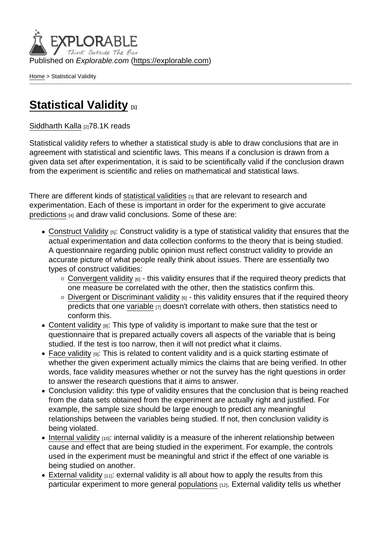Published on Explorable.com (<https://explorable.com>)

[Home](https://explorable.com/) > Statistical Validity

## [Statistical Validity](https://explorable.com/statistical-validity) [1]

[Siddharth Kalla](https://explorable.com/users/siddharth) [2]78.1K reads

Statistical validity refers to whether a statistical study is able to draw conclusions that are in agreement with statistical and scientific laws. This means if a conclusion is drawn from a given data set after experimentation, it is said to be scientifically valid if the conclusion drawn from the experiment is scientific and relies on mathematical and statistical laws.

There are different kinds of [statistical validities](http://en.wikipedia.org/wiki/Validity_(statistics)) [3] that are relevant to research and experimentation. Each of these is important in order for the experiment to give accurate [predictions](https://explorable.com/prediction-in-research) [4] and draw valid conclusions. Some of these are:

- [Construct Validity](https://explorable.com/construct-validity) [5]: Construct validity is a type of statistical validity that ensures that the actual experimentation and data collection conforms to the theory that is being studied. A questionnaire regarding public opinion must reflect construct validity to provide an accurate picture of what people really think about issues. There are essentially two types of construct validities:
	- $\circ$  [Convergent validity](https://explorable.com/convergent-validity)  $_{[6]}$  this validity ensures that if the required theory predicts that one measure be correlated with the other, then the statistics confirm this.
	- $\circ$  [Divergent or Discriminant validity](https://explorable.com/convergent-validity)  $_{[6]}$  this validity ensures that if the required theory predicts that one [variable](https://explorable.com/research-variables)  $_{[7]}$  doesn't correlate with others, then statistics need to conform this.
- [Content validity](https://explorable.com/content-validity)  $[8]$ : This type of validity is important to make sure that the test or questionnaire that is prepared actually covers all aspects of the variable that is being studied. If the test is too narrow, then it will not predict what it claims.
- [Face validity](https://explorable.com/face-validity) **[9]:** This is related to content validity and is a quick starting estimate of whether the given experiment actually mimics the claims that are being verified. In other words, face validity measures whether or not the survey has the right questions in order to answer the research questions that it aims to answer.
- Conclusion validity: this type of validity ensures that the conclusion that is being reached from the data sets obtained from the experiment are actually right and justified. For example, the sample size should be large enough to predict any meaningful relationships between the variables being studied. If not, then conclusion validity is being violated.
- $\bullet$  [Internal validity](https://explorable.com/internal-validity)  $_{[10]}$ : internal validity is a measure of the inherent relationship between cause and effect that are being studied in the experiment. For example, the controls used in the experiment must be meaningful and strict if the effect of one variable is being studied on another.
- $\bullet$  [External validity](https://explorable.com/external-validity)  $[11]$ : external validity is all about how to apply the results from this particular experiment to more general [populations](https://explorable.com/research-population) [12]. External validity tells us whether